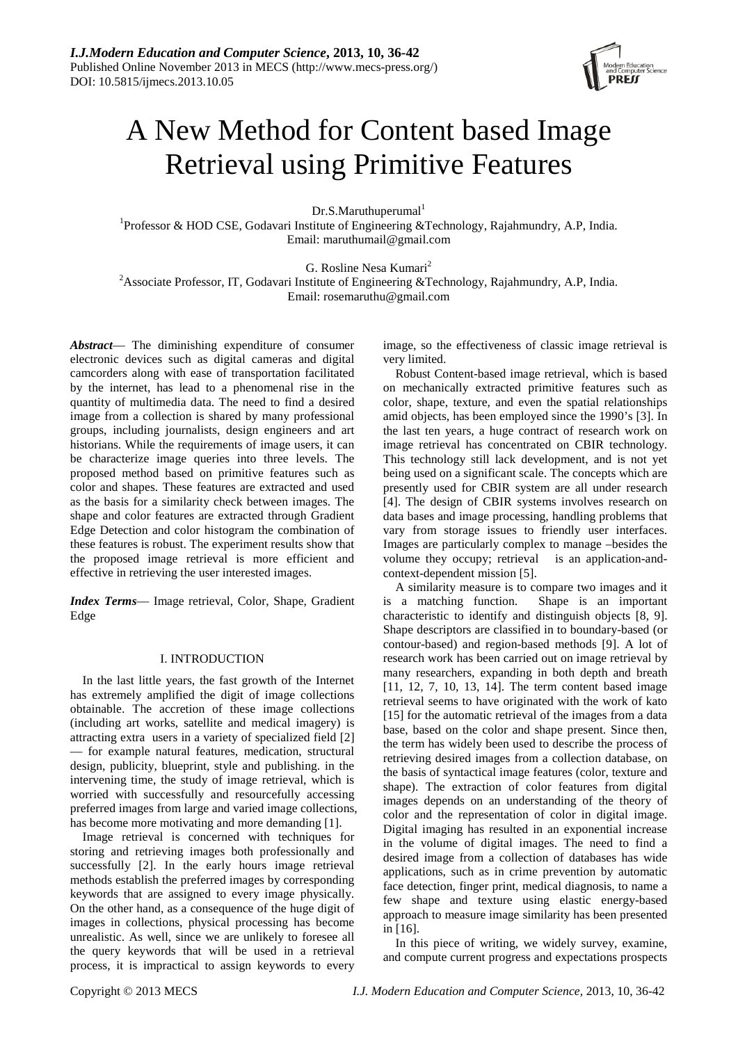

# A New Method for Content based Image Retrieval using Primitive Features

 $Dr.S.Maruthu perumal<sup>1</sup>$ 

<sup>1</sup>Professor & HOD CSE, Godavari Institute of Engineering &Technology, Rajahmundry, A.P, India. Email: maruthumail@gmail.com

G. Rosline Nesa Kumari<sup>2</sup>

<sup>2</sup> Associate Professor, IT, Godavari Institute of Engineering & Technology, Rajahmundry, A.P, India. Email: rosemaruthu@gmail.com

*Abstract*— The diminishing expenditure of consumer electronic devices such as digital cameras and digital camcorders along with ease of transportation facilitated by the internet, has lead to a phenomenal rise in the quantity of multimedia data. The need to find a desired image from a collection is shared by many professional groups, including journalists, design engineers and art historians. While the requirements of image users, it can be characterize image queries into three levels. The proposed method based on primitive features such as color and shapes. These features are extracted and used as the basis for a similarity check between images. The shape and color features are extracted through Gradient Edge Detection and color histogram the combination of these features is robust. The experiment results show that the proposed image retrieval is more efficient and effective in retrieving the user interested images.

*Index Terms*— Image retrieval, Color, Shape, Gradient Edge

# I. INTRODUCTION

In the last little years, the fast growth of the Internet has extremely amplified the digit of image collections obtainable. The accretion of these image collections (including art works, satellite and medical imagery) is attracting extra users in a variety of specialized field [2] — for example natural features, medication, structural design, publicity, blueprint, style and publishing. in the intervening time, the study of image retrieval, which is worried with successfully and resourcefully accessing preferred images from large and varied image collections, has become more motivating and more demanding [1].

Image retrieval is concerned with techniques for storing and retrieving images both professionally and successfully [2]. In the early hours image retrieval methods establish the preferred images by corresponding keywords that are assigned to every image physically. On the other hand, as a consequence of the huge digit of images in collections, physical processing has become unrealistic. As well, since we are unlikely to foresee all the query keywords that will be used in a retrieval process, it is impractical to assign keywords to every

image, so the effectiveness of classic image retrieval is very limited.

Robust Content-based image retrieval, which is based on mechanically extracted primitive features such as color, shape, texture, and even the spatial relationships amid objects, has been employed since the 1990's [3]. In the last ten years, a huge contract of research work on image retrieval has concentrated on CBIR technology. This technology still lack development, and is not yet being used on a significant scale. The concepts which are presently used for CBIR system are all under research [4]. The design of CBIR systems involves research on data bases and image processing, handling problems that vary from storage issues to friendly user interfaces. Images are particularly complex to manage –besides the volume they occupy; retrieval is an application-andcontext-dependent mission [5].

A similarity measure is to compare two images and it<br>a matching function. Shape is an important is a matching function. characteristic to identify and distinguish objects [8, 9]. Shape descriptors are classified in to boundary-based (or contour-based) and region-based methods [9]. A lot of research work has been carried out on image retrieval by many researchers, expanding in both depth and breath [11, 12, 7, 10, 13, 14]. The term content based image retrieval seems to have originated with the work of kato [15] for the automatic retrieval of the images from a data base, based on the color and shape present. Since then, the term has widely been used to describe the process of retrieving desired images from a collection database, on the basis of syntactical image features (color, texture and shape). The extraction of color features from digital images depends on an understanding of the theory of color and the representation of color in digital image. Digital imaging has resulted in an exponential increase in the volume of digital images. The need to find a desired image from a collection of databases has wide applications, such as in crime prevention by automatic face detection, finger print, medical diagnosis, to name a few shape and texture using elastic energy-based approach to measure image similarity has been presented in [16].

In this piece of writing, we widely survey, examine, and compute current progress and expectations prospects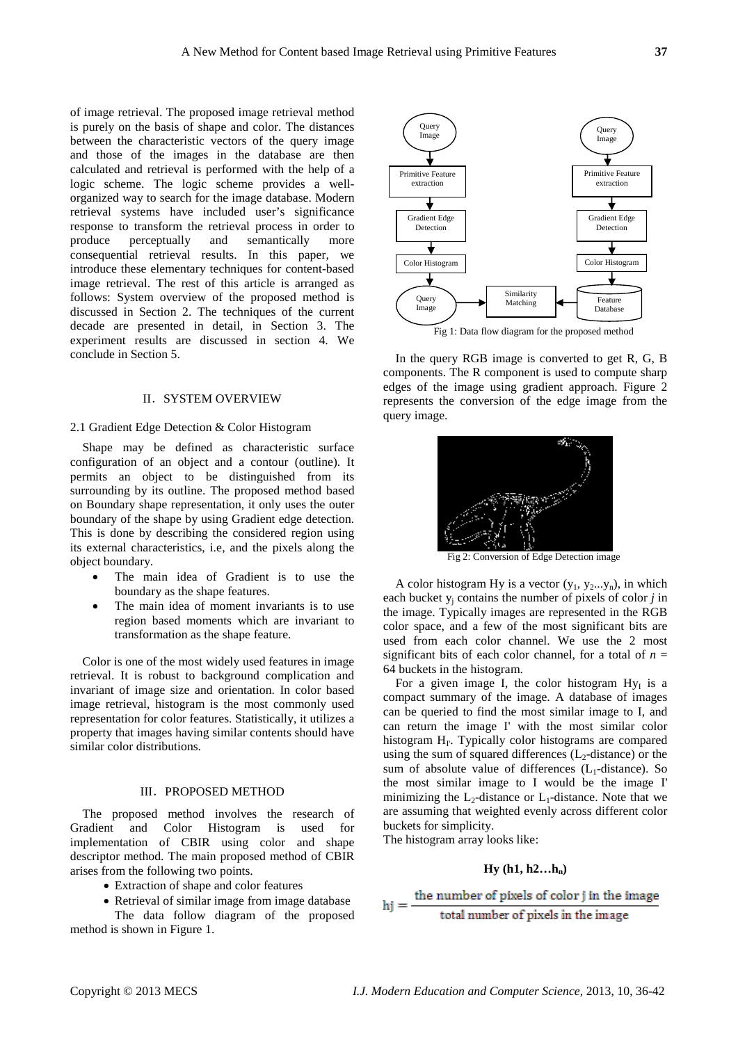of image retrieval. The proposed image retrieval method is purely on the basis of shape and color. The distances between the characteristic vectors of the query image and those of the images in the database are then calculated and retrieval is performed with the help of a logic scheme. The logic scheme provides a wellorganized way to search for the image database. Modern retrieval systems have included user's significance response to transform the retrieval process in order to produce energy and semantically more perceptually consequential retrieval results. In this paper, we introduce these elementary techniques for content-based image retrieval. The rest of this article is arranged as follows: System overview of the proposed method is discussed in Section 2. The techniques of the current decade are presented in detail, in Section 3. The experiment results are discussed in section 4. We conclude in Section 5.

# II. SYSTEM OVERVIEW

## 2.1 Gradient Edge Detection & Color Histogram

Shape may be defined as characteristic surface configuration of an object and a contour (outline). It permits an object to be distinguished from its surrounding by its outline. The proposed method based on Boundary shape representation, it only uses the outer boundary of the shape by using Gradient edge detection. This is done by describing the considered region using its external characteristics, i.e, and the pixels along the object boundary.

- The main idea of Gradient is to use the boundary as the shape features.
- The main idea of moment invariants is to use region based moments which are invariant to transformation as the shape feature.

Color is one of the most widely used features in image retrieval. It is robust to background complication and invariant of image size and orientation. In color based image retrieval, histogram is the most commonly used representation for color features. Statistically, it utilizes a property that images having similar contents should have similar color distributions.

#### III.PROPOSED METHOD

The proposed method involves the research of Gradient and Color Histogram is used for implementation of CBIR using color and shape descriptor method. The main proposed method of CBIR arises from the following two points.

- Extraction of shape and color features
- Retrieval of similar image from image database

The data follow diagram of the proposed method is shown in Figure 1.



Fig 1: Data flow diagram for the proposed method

In the query RGB image is converted to get R, G, B components. The R component is used to compute sharp edges of the image using gradient approach. Figure 2 represents the conversion of the edge image from the query image.



Fig 2: Conversion of Edge Detection image

A color histogram Hy is a vector  $(y_1, y_2...y_n)$ , in which each bucket yj contains the number of pixels of color *j* in the image. Typically images are represented in the RGB color space, and a few of the most significant bits are used from each color channel. We use the 2 most significant bits of each color channel, for a total of  $n =$ 64 buckets in the histogram.

For a given image I, the color histogram  $Hy_I$  is a compact summary of the image. A database of images can be queried to find the most similar image to I, and can return the image I' with the most similar color histogram  $H<sub>II</sub>$ . Typically color histograms are compared using the sum of squared differences  $(L_2$ -distance) or the sum of absolute value of differences  $(L_1$ -distance). So the most similar image to I would be the image I' minimizing the  $L_2$ -distance or  $L_1$ -distance. Note that we are assuming that weighted evenly across different color buckets for simplicity.

The histogram array looks like:

## **Hy** (h<sub>1</sub>, h<sub>2…h<sub>n</sub>)</sub>

the number of pixels of color j in the image total number of pixels in the image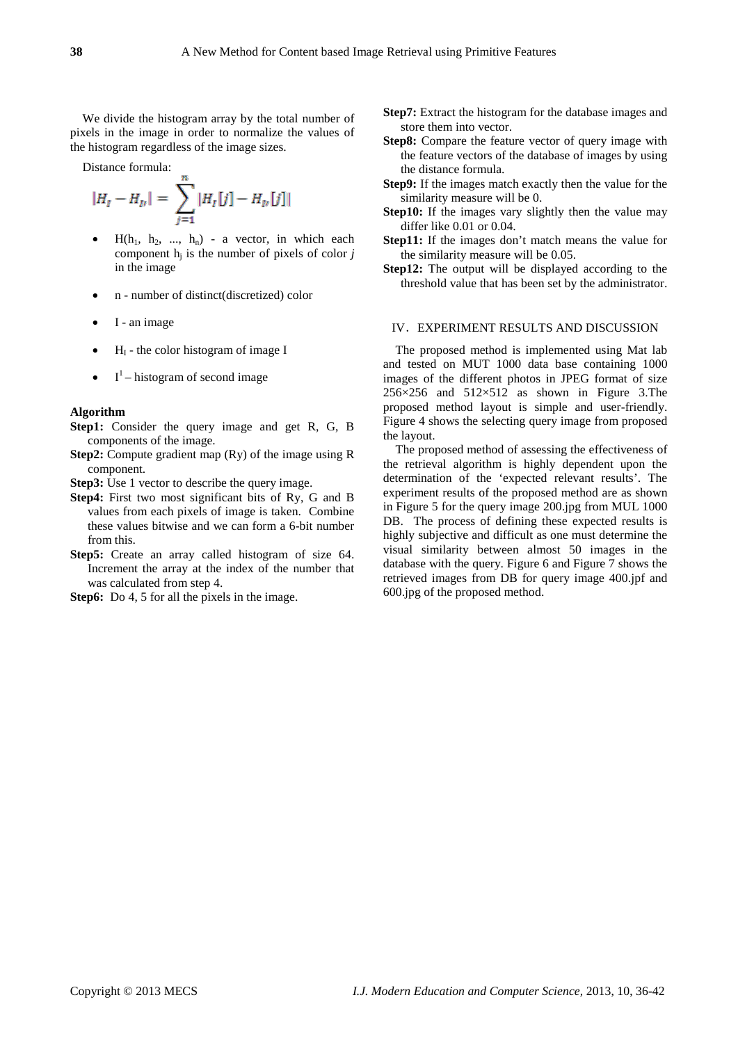We divide the histogram array by the total number of pixels in the image in order to normalize the values of the histogram regardless of the image sizes.

Distance formula:

$$
|H_I - H_{I'}| = \sum_{j=1}^n |H_I[j] - H_{I'}[j]|
$$

- $H(h_1, h_2, ..., h_n)$  a vector, in which each component  $h_i$  is the number of pixels of color  $j$ in the image
- n number of distinct(discretized) color
- I an image
- $H<sub>I</sub>$  the color histogram of image I
- $\bullet$  I<sup>1</sup> histogram of second image

## **Algorithm**

- Step1: Consider the query image and get R, G, B components of the image.
- **Step2:** Compute gradient map (Ry) of the image using R component.
- **Step3:** Use 1 vector to describe the query image.
- **Step4:** First two most significant bits of Ry, G and B values from each pixels of image is taken. Combine these values bitwise and we can form a 6-bit number from this.
- **Step5:** Create an array called histogram of size 64. Increment the array at the index of the number that was calculated from step 4.
- **Step6:** Do 4, 5 for all the pixels in the image.
- **Step7:** Extract the histogram for the database images and store them into vector.
- **Step8:** Compare the feature vector of query image with the feature vectors of the database of images by using the distance formula.
- **Step9:** If the images match exactly then the value for the similarity measure will be 0.
- **Step10:** If the images vary slightly then the value may differ like 0.01 or 0.04.
- **Step11:** If the images don't match means the value for the similarity measure will be 0.05.
- **Step12:** The output will be displayed according to the threshold value that has been set by the administrator.

## IV.EXPERIMENT RESULTS AND DISCUSSION

The proposed method is implemented using Mat lab and tested on MUT 1000 data base containing 1000 images of the different photos in JPEG format of size  $256 \times 256$  and  $512 \times 512$  as shown in Figure 3. The proposed method layout is simple and user-friendly. Figure 4 shows the selecting query image from proposed the layout.

The proposed method of assessing the effectiveness of the retrieval algorithm is highly dependent upon the determination of the 'expected relevant results'. The experiment results of the proposed method are as shown in Figure 5 for the query image 200.jpg from MUL 1000 DB. The process of defining these expected results is highly subjective and difficult as one must determine the visual similarity between almost 50 images in the database with the query. Figure 6 and Figure 7 shows the retrieved images from DB for query image 400.jpf and 600.jpg of the proposed method.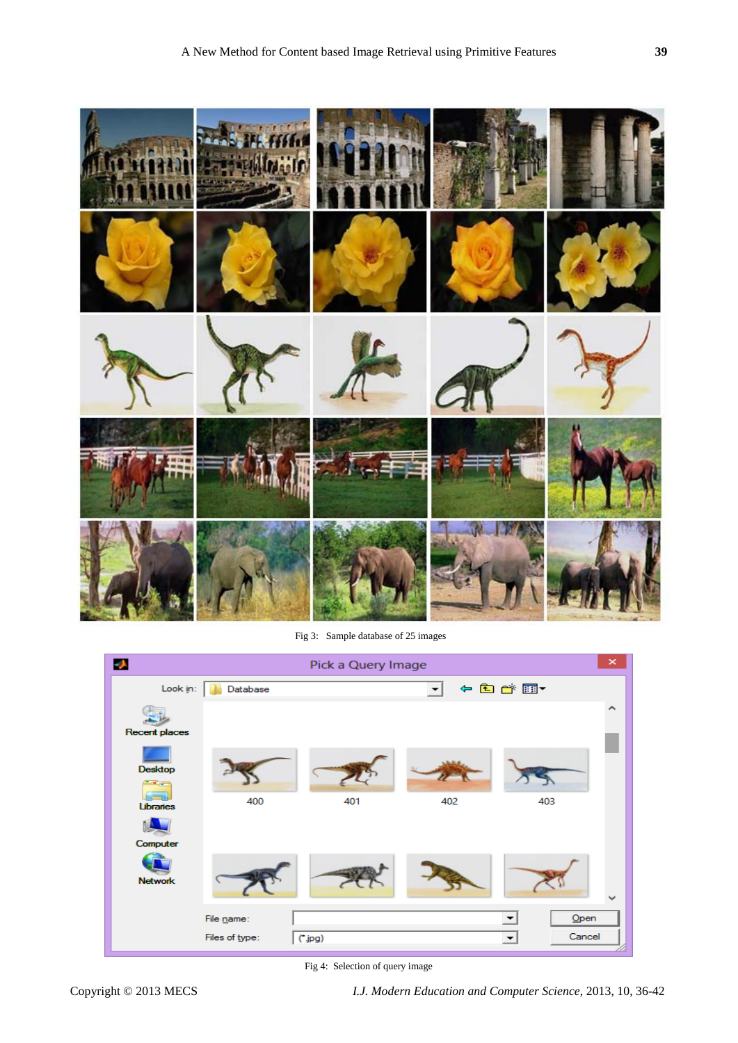

Fig 3: Sample database of 25 images



Fig 4: Selection of query image

Copyright © 2013 MECS *I.J. Modern Education and Computer Science,* 2013, 10, 36-42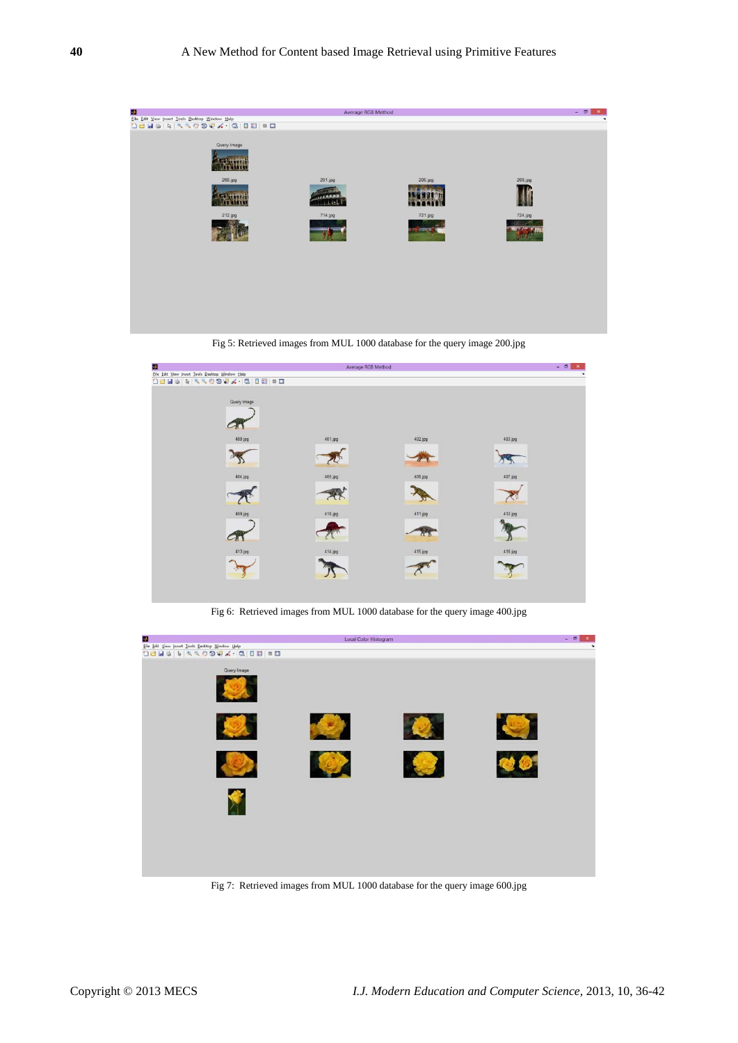

Fig 5: Retrieved images from MUL 1000 database for the query image 200.jpg

| Đ.<br>Average RGB Method |                                                 |         |            | $-6x$   |
|--------------------------|-------------------------------------------------|---------|------------|---------|
|                          | File Edit View Insert Tools Desktop Window Help |         |            |         |
|                          |                                                 |         |            |         |
|                          |                                                 |         |            |         |
|                          |                                                 |         |            |         |
|                          | Query Image                                     |         |            |         |
|                          |                                                 |         |            |         |
|                          |                                                 |         |            |         |
|                          | $\alpha$                                        |         |            |         |
|                          |                                                 |         |            |         |
|                          | 400.jpg                                         | 401.jpg | 402.jpg    | 403.jpg |
|                          |                                                 |         |            |         |
|                          | $\mathcal{P}$                                   |         | æ          |         |
|                          |                                                 |         |            |         |
|                          |                                                 |         |            |         |
|                          | 404.jpg                                         | 405.jpg | 406.jpg    | 407.jpg |
|                          |                                                 |         |            |         |
|                          |                                                 |         |            |         |
|                          |                                                 |         |            |         |
|                          |                                                 |         |            |         |
|                          | 409.jpg                                         | 410.jpg | 411.jpg    | 412.jpg |
|                          |                                                 |         |            |         |
|                          |                                                 |         | $\sqrt{N}$ |         |
|                          | a                                               |         |            |         |
|                          |                                                 |         |            |         |
|                          | 413.jpg                                         | 414 jpg | 415.jpg    | 416.jpg |
|                          |                                                 |         |            |         |
|                          |                                                 |         |            |         |
|                          |                                                 |         |            |         |
|                          |                                                 |         |            |         |
|                          |                                                 |         |            |         |
|                          |                                                 |         |            |         |

Fig 6: Retrieved images from MUL 1000 database for the query image 400.jpg



Fig 7: Retrieved images from MUL 1000 database for the query image 600.jpg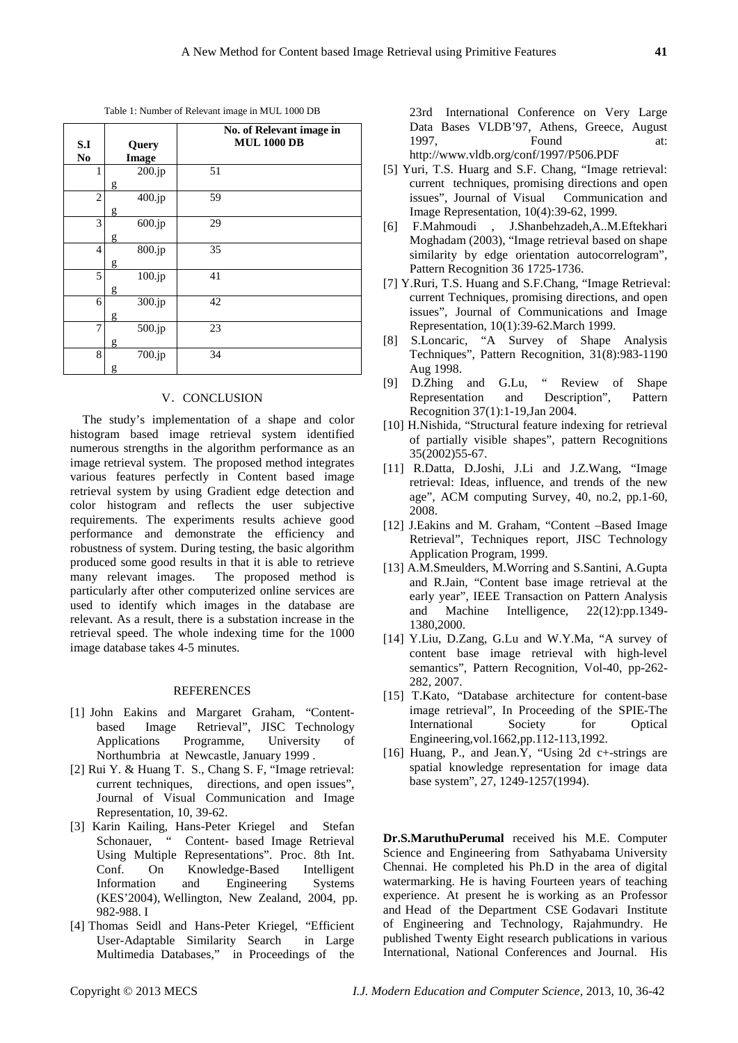Table 1: Number of Relevant image in MUL 1000 DB

| S.I<br>N <sub>0</sub> | Query<br>Image | No. of Relevant image in<br><b>MUL 1000 DB</b> |  |
|-----------------------|----------------|------------------------------------------------|--|
| 1                     | $200$ .jp<br>g | 51                                             |  |
| $\overline{c}$        | $400$ .jp<br>g | 59                                             |  |
| 3                     | 600.jp<br>g    | 29                                             |  |
| $\overline{4}$        | 800.jp<br>g    | 35                                             |  |
| 5                     | $100$ .jp<br>g | 41                                             |  |
| 6                     | 300.jp<br>g    | 42                                             |  |
| $\overline{7}$        | 500.jp<br>g    | 23                                             |  |
| 8                     | 700.jp<br>g    | 34                                             |  |

# V. CONCLUSION

The study's implementation of a shape and color histogram based image retrieval system identified numerous strengths in the algorithm performance as an image retrieval system. The proposed method integrates various features perfectly in Content based image retrieval system by using Gradient edge detection and color histogram and reflects the user subjective requirements. The experiments results achieve good performance and demonstrate the efficiency and robustness of system. During testing, the basic algorithm produced some good results in that it is able to retrieve many relevant images. The proposed method is particularly after other computerized online services are used to identify which images in the database are relevant. As a result, there is a substation increase in the retrieval speed. The whole indexing time for the 1000 image database takes 4-5 minutes.

#### REFERENCES

- [1] John Eakins and Margaret Graham, "Contentbased Image Retrieval", JISC Technology Applications Programme, University of Northumbria at Newcastle, January 1999 .
- [2] Rui Y. & Huang T. S., Chang S. F, "Image retrieval: current techniques, directions, and open issues", Journal of Visual Communication and Image Representation, 10, 39-62.
- [3] Karin Kailing, Hans-Peter Kriegel and Stefan Schonauer, "Content- based Image Retrieval Using Multiple Representations". Proc. 8th Int. Conf. On Knowledge-Based Intelligent Information and Engineering Systems (KES'2004), Wellington, New Zealand, 2004, pp. 982-988. I
- [4] Thomas Seidl and Hans-Peter Kriegel, "Efficient User-Adaptable Similarity Search in Large Multimedia Databases," in Proceedings of the

23rd International Conference on Very Large Data Bases VLDB'97, Athens, Greece, August 1997, Found at: http://www.vldb.org/conf/1997/P506.PDF

- [5] Yuri, T.S. Huarg and S.F. Chang, "Image retrieval: current techniques, promising directions and open issues", Journal of Visual Communication and Image Representation, 10(4):39-62, 1999.
- [6] F.Mahmoudi , J.Shanbehzadeh,A..M.Eftekhari Moghadam (2003), "Image retrieval based on shape similarity by edge orientation autocorrelogram", Pattern Recognition 36 1725-1736.
- [7] Y.Ruri, T.S. Huang and S.F.Chang, "Image Retrieval: current Techniques, promising directions, and open issues", Journal of Communications and Image Representation, 10(1):39-62.March 1999.
- [8] S.Loncaric, "A Survey of Shape Analysis Techniques", Pattern Recognition, 31(8):983-1190 Aug 1998.
- [9] D.Zhing and G.Lu, " Review of Shape Representation and Description", Pattern Recognition 37(1):1-19,Jan 2004.
- [10] H.Nishida, "Structural feature indexing for retrieval of partially visible shapes", pattern Recognitions 35(2002)55-67.
- [11] R.Datta, D.Joshi, J.Li and J.Z.Wang, "Image retrieval: Ideas, influence, and trends of the new age", ACM computing Survey, 40, no.2, pp.1-60, 2008.
- [12] J.Eakins and M. Graham, "Content –Based Image Retrieval", Techniques report, JISC Technology Application Program, 1999.
- [13] A.M.Smeulders, M.Worring and S.Santini, A.Gupta and R.Jain, "Content base image retrieval at the early year", IEEE Transaction on Pattern Analysis and Machine Intelligence, 22(12):pp.1349- 1380,2000.
- [14] Y.Liu, D.Zang, G.Lu and W.Y.Ma, "A survey of content base image retrieval with high-level semantics", Pattern Recognition, Vol-40, pp-262- 282, 2007.
- [15] T.Kato, "Database architecture for content-base image retrieval", In Proceeding of the SPIE-The International Society for Optical Engineering,vol.1662,pp.112-113,1992.
- [16] Huang, P., and Jean.Y, "Using 2d c+-strings are spatial knowledge representation for image data base system", 27, 1249-1257(1994).

**Dr.S.MaruthuPerumal** received his M.E. Computer Science and Engineering from Sathyabama University Chennai. He completed his Ph.D in the area of digital watermarking. He is having Fourteen years of teaching experience. At present he is working as an Professor and Head of the Department CSE Godavari Institute of Engineering and Technology, Rajahmundry. He published Twenty Eight research publications in various International, National Conferences and Journal. His